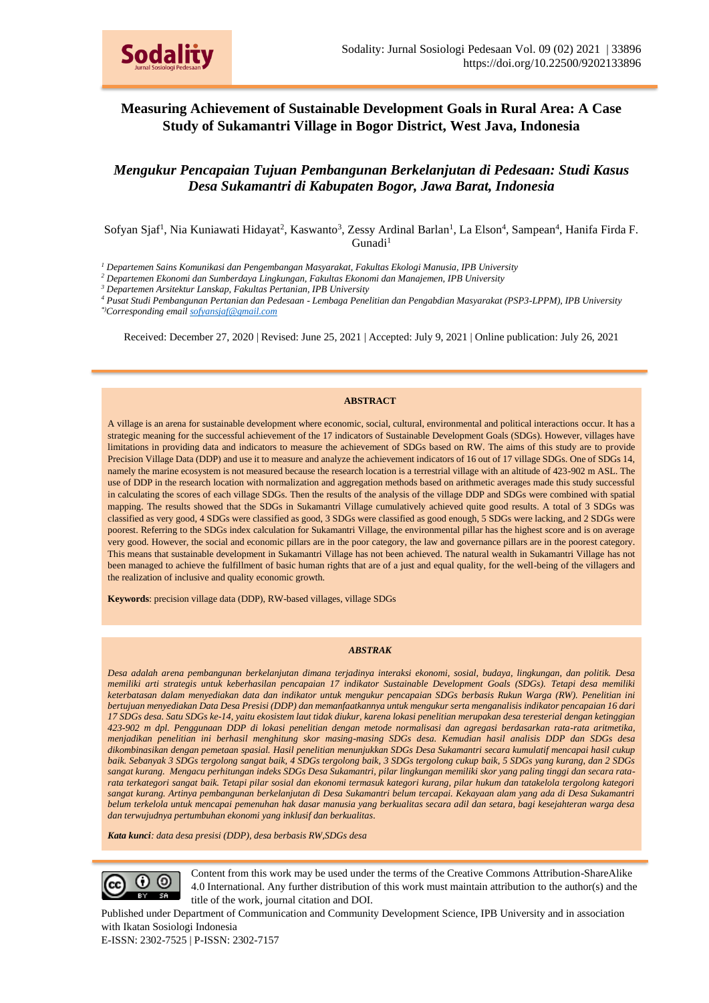

# **Measuring Achievement of Sustainable Development Goals in Rural Area: A Case Study of Sukamantri Village in Bogor District, West Java, Indonesia**

*Mengukur Pencapaian Tujuan Pembangunan Berkelanjutan di Pedesaan: Studi Kasus Desa Sukamantri di Kabupaten Bogor, Jawa Barat, Indonesia*

Sofyan Sjaf<sup>1</sup>, Nia Kuniawati Hidayat<sup>2</sup>, Kaswanto<sup>3</sup>, Zessy Ardinal Barlan<sup>1</sup>, La Elson<sup>4</sup>, Sampean<sup>4</sup>, Hanifa Firda F.  $G$ unadi<sup>1</sup>

*<sup>1</sup> Departemen Sains Komunikasi dan Pengembangan Masyarakat, Fakultas Ekologi Manusia, IPB University*

*<sup>2</sup> Departemen Ekonomi dan Sumberdaya Lingkungan, Fakultas Ekonomi dan Manajemen, IPB University*

*<sup>3</sup> Departemen Arsitektur Lanskap, Fakultas Pertanian, IPB University*

*<sup>4</sup> Pusat Studi Pembangunan Pertanian dan Pedesaan - Lembaga Penelitian dan Pengabdian Masyarakat (PSP3-LPPM), IPB University \*)Corresponding email sofyansjaf@gmail.com*

Received: December 27, 2020 | Revised: June 25, 2021 | Accepted: July 9, 2021 | Online publication: July 26, 2021

#### **ABSTRACT**

A village is an arena for sustainable development where economic, social, cultural, environmental and political interactions occur. It has a strategic meaning for the successful achievement of the 17 indicators of Sustainable Development Goals (SDGs). However, villages have limitations in providing data and indicators to measure the achievement of SDGs based on RW. The aims of this study are to provide Precision Village Data (DDP) and use it to measure and analyze the achievement indicators of 16 out of 17 village SDGs. One of SDGs 14, namely the marine ecosystem is not measured because the research location is a terrestrial village with an altitude of 423-902 m ASL. The use of DDP in the research location with normalization and aggregation methods based on arithmetic averages made this study successful in calculating the scores of each village SDGs. Then the results of the analysis of the village DDP and SDGs were combined with spatial mapping. The results showed that the SDGs in Sukamantri Village cumulatively achieved quite good results. A total of 3 SDGs was classified as very good, 4 SDGs were classified as good, 3 SDGs were classified as good enough, 5 SDGs were lacking, and 2 SDGs were poorest. Referring to the SDGs index calculation for Sukamantri Village, the environmental pillar has the highest score and is on average very good. However, the social and economic pillars are in the poor category, the law and governance pillars are in the poorest category. This means that sustainable development in Sukamantri Village has not been achieved. The natural wealth in Sukamantri Village has not been managed to achieve the fulfillment of basic human rights that are of a just and equal quality, for the well-being of the villagers and the realization of inclusive and quality economic growth.

**Keywords**: precision village data (DDP), RW-based villages, village SDGs

#### *ABSTRAK*

*Desa adalah arena pembangunan berkelanjutan dimana terjadinya interaksi ekonomi, sosial, budaya, lingkungan, dan politik. Desa memiliki arti strategis untuk keberhasilan pencapaian 17 indikator Sustainable Development Goals (SDGs). Tetapi desa memiliki keterbatasan dalam menyediakan data dan indikator untuk mengukur pencapaian SDGs berbasis Rukun Warga (RW). Penelitian ini bertujuan menyediakan Data Desa Presisi (DDP) dan memanfaatkannya untuk mengukur serta menganalisis indikator pencapaian 16 dari 17 SDGs desa. Satu SDGs ke-14, yaitu ekosistem laut tidak diukur, karena lokasi penelitian merupakan desa teresterial dengan ketinggian 423-902 m dpl. Penggunaan DDP di lokasi penelitian dengan metode normalisasi dan agregasi berdasarkan rata-rata aritmetika, menjadikan penelitian ini berhasil menghitung skor masing-masing SDGs desa. Kemudian hasil analisis DDP dan SDGs desa dikombinasikan dengan pemetaan spasial. Hasil penelitian menunjukkan SDGs Desa Sukamantri secara kumulatif mencapai hasil cukup baik. Sebanyak 3 SDGs tergolong sangat baik, 4 SDGs tergolong baik, 3 SDGs tergolong cukup baik, 5 SDGs yang kurang, dan 2 SDGs sangat kurang. Mengacu perhitungan indeks SDGs Desa Sukamantri, pilar lingkungan memiliki skor yang paling tinggi dan secara ratarata terkategori sangat baik. Tetapi pilar sosial dan ekonomi termasuk kategori kurang, pilar hukum dan tatakelola tergolong kategori sangat kurang. Artinya pembangunan berkelanjutan di Desa Sukamantri belum tercapai. Kekayaan alam yang ada di Desa Sukamantri belum terkelola untuk mencapai pemenuhan hak dasar manusia yang berkualitas secara adil dan setara, bagi kesejahteran warga desa dan terwujudnya pertumbuhan ekonomi yang inklusif dan berkualitas.*

*Kata kunci: data desa presisi (DDP), desa berbasis RW,SDGs desa*



Content from this work may be used under the terms of the Creative Commons Attribution-ShareAlike 4.0 International. Any further distribution of this work must maintain attribution to the author(s) and the title of the work, journal citation and DOI.

Published under Department of Communication and Community Development Science, IPB University and in association with Ikatan Sosiologi Indonesia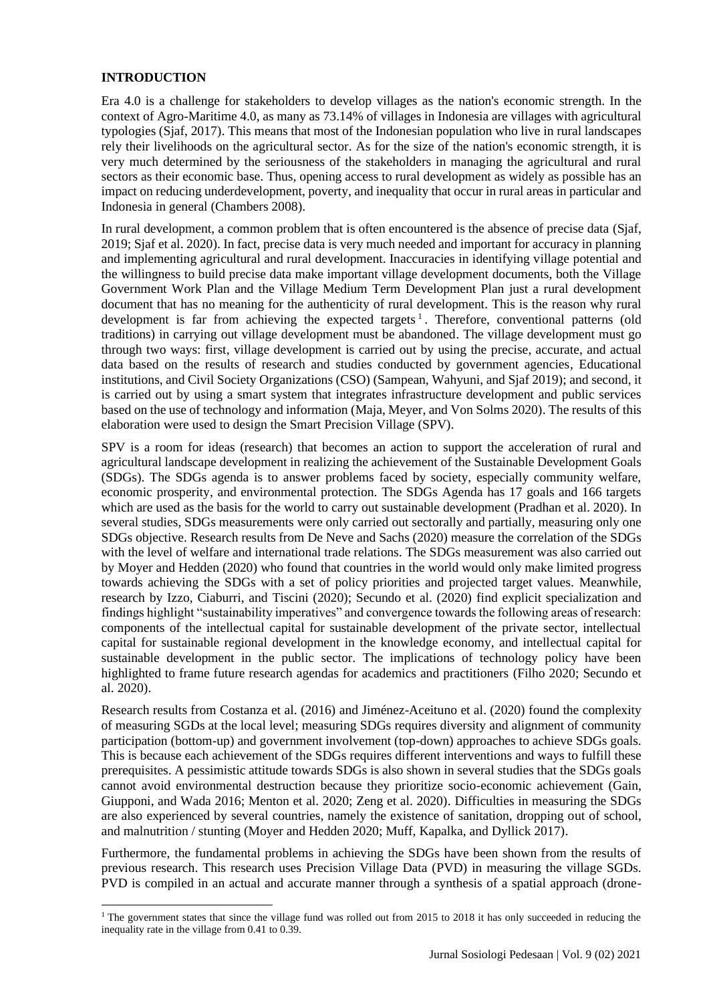## **INTRODUCTION**

Era 4.0 is a challenge for stakeholders to develop villages as the nation's economic strength. In the context of Agro-Maritime 4.0, as many as 73.14% of villages in Indonesia are villages with agricultural typologies (Sjaf, 2017). This means that most of the Indonesian population who live in rural landscapes rely their livelihoods on the agricultural sector. As for the size of the nation's economic strength, it is very much determined by the seriousness of the stakeholders in managing the agricultural and rural sectors as their economic base. Thus, opening access to rural development as widely as possible has an impact on reducing underdevelopment, poverty, and inequality that occur in rural areas in particular and Indonesia in general (Chambers 2008).

In rural development, a common problem that is often encountered is the absence of precise data (Sjaf, 2019; Sjaf et al. 2020). In fact, precise data is very much needed and important for accuracy in planning and implementing agricultural and rural development. Inaccuracies in identifying village potential and the willingness to build precise data make important village development documents, both the Village Government Work Plan and the Village Medium Term Development Plan just a rural development document that has no meaning for the authenticity of rural development. This is the reason why rural development is far from achieving the expected targets<sup>1</sup>. Therefore, conventional patterns (old traditions) in carrying out village development must be abandoned. The village development must go through two ways: first, village development is carried out by using the precise, accurate, and actual data based on the results of research and studies conducted by government agencies, Educational institutions, and Civil Society Organizations (CSO) (Sampean, Wahyuni, and Sjaf 2019); and second, it is carried out by using a smart system that integrates infrastructure development and public services based on the use of technology and information (Maja, Meyer, and Von Solms 2020). The results of this elaboration were used to design the Smart Precision Village (SPV).

SPV is a room for ideas (research) that becomes an action to support the acceleration of rural and agricultural landscape development in realizing the achievement of the Sustainable Development Goals (SDGs). The SDGs agenda is to answer problems faced by society, especially community welfare, economic prosperity, and environmental protection. The SDGs Agenda has 17 goals and 166 targets which are used as the basis for the world to carry out sustainable development (Pradhan et al. 2020). In several studies, SDGs measurements were only carried out sectorally and partially, measuring only one SDGs objective. Research results from De Neve and Sachs (2020) measure the correlation of the SDGs with the level of welfare and international trade relations. The SDGs measurement was also carried out by Moyer and Hedden (2020) who found that countries in the world would only make limited progress towards achieving the SDGs with a set of policy priorities and projected target values. Meanwhile, research by Izzo, Ciaburri, and Tiscini (2020); Secundo et al. (2020) find explicit specialization and findings highlight "sustainability imperatives" and convergence towards the following areas of research: components of the intellectual capital for sustainable development of the private sector, intellectual capital for sustainable regional development in the knowledge economy, and intellectual capital for sustainable development in the public sector. The implications of technology policy have been highlighted to frame future research agendas for academics and practitioners (Filho 2020; Secundo et al. 2020).

Research results from Costanza et al. (2016) and Jiménez-Aceituno et al. (2020) found the complexity of measuring SGDs at the local level; measuring SDGs requires diversity and alignment of community participation (bottom-up) and government involvement (top-down) approaches to achieve SDGs goals. This is because each achievement of the SDGs requires different interventions and ways to fulfill these prerequisites. A pessimistic attitude towards SDGs is also shown in several studies that the SDGs goals cannot avoid environmental destruction because they prioritize socio-economic achievement (Gain, Giupponi, and Wada 2016; Menton et al. 2020; Zeng et al. 2020). Difficulties in measuring the SDGs are also experienced by several countries, namely the existence of sanitation, dropping out of school, and malnutrition / stunting (Moyer and Hedden 2020; Muff, Kapalka, and Dyllick 2017).

Furthermore, the fundamental problems in achieving the SDGs have been shown from the results of previous research. This research uses Precision Village Data (PVD) in measuring the village SGDs. PVD is compiled in an actual and accurate manner through a synthesis of a spatial approach (drone-

<sup>&</sup>lt;sup>1</sup> The government states that since the village fund was rolled out from 2015 to 2018 it has only succeeded in reducing the inequality rate in the village from 0.41 to 0.39.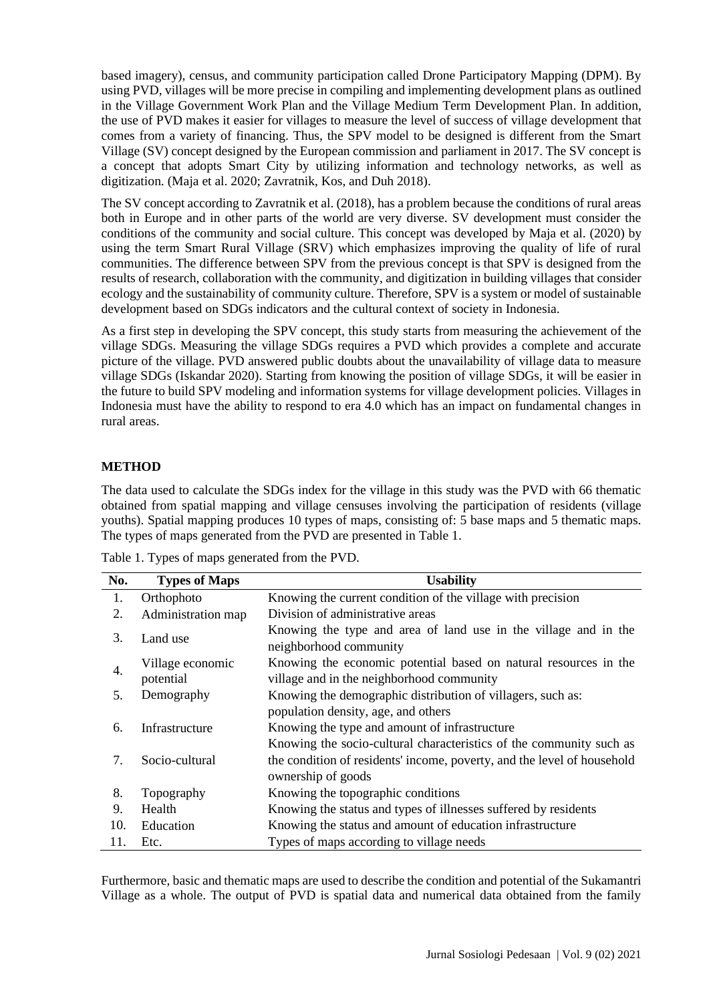based imagery), census, and community participation called Drone Participatory Mapping (DPM). By using PVD, villages will be more precise in compiling and implementing development plans as outlined in the Village Government Work Plan and the Village Medium Term Development Plan. In addition, the use of PVD makes it easier for villages to measure the level of success of village development that comes from a variety of financing. Thus, the SPV model to be designed is different from the Smart Village (SV) concept designed by the European commission and parliament in 2017. The SV concept is a concept that adopts Smart City by utilizing information and technology networks, as well as digitization. (Maja et al. 2020; Zavratnik, Kos, and Duh 2018).

The SV concept according to Zavratnik et al. (2018), has a problem because the conditions of rural areas both in Europe and in other parts of the world are very diverse. SV development must consider the conditions of the community and social culture. This concept was developed by Maja et al. (2020) by using the term Smart Rural Village (SRV) which emphasizes improving the quality of life of rural communities. The difference between SPV from the previous concept is that SPV is designed from the results of research, collaboration with the community, and digitization in building villages that consider ecology and the sustainability of community culture. Therefore, SPV is a system or model of sustainable development based on SDGs indicators and the cultural context of society in Indonesia.

As a first step in developing the SPV concept, this study starts from measuring the achievement of the village SDGs. Measuring the village SDGs requires a PVD which provides a complete and accurate picture of the village. PVD answered public doubts about the unavailability of village data to measure village SDGs (Iskandar 2020). Starting from knowing the position of village SDGs, it will be easier in the future to build SPV modeling and information systems for village development policies. Villages in Indonesia must have the ability to respond to era 4.0 which has an impact on fundamental changes in rural areas.

## **METHOD**

The data used to calculate the SDGs index for the village in this study was the PVD with 66 thematic obtained from spatial mapping and village censuses involving the participation of residents (village youths). Spatial mapping produces 10 types of maps, consisting of: 5 base maps and 5 thematic maps. The types of maps generated from the PVD are presented in Table 1.

| Table 1. Types of maps generated from the PVD. |  |  |
|------------------------------------------------|--|--|
|                                                |  |  |

| No. | <b>Types of Maps</b>          | <b>Usability</b>                                                                                              |
|-----|-------------------------------|---------------------------------------------------------------------------------------------------------------|
| 1.  | Orthophoto                    | Knowing the current condition of the village with precision                                                   |
| 2.  | Administration map            | Division of administrative areas                                                                              |
| 3.  | Land use                      | Knowing the type and area of land use in the village and in the<br>neighborhood community                     |
| 4.  | Village economic<br>potential | Knowing the economic potential based on natural resources in the<br>village and in the neighborhood community |
| 5.  | Demography                    | Knowing the demographic distribution of villagers, such as:                                                   |
|     |                               | population density, age, and others                                                                           |
| 6.  | Infrastructure                | Knowing the type and amount of infrastructure                                                                 |
|     |                               | Knowing the socio-cultural characteristics of the community such as                                           |
| 7.  | Socio-cultural                | the condition of residents' income, poverty, and the level of household                                       |
|     |                               | ownership of goods                                                                                            |
| 8.  | Topography                    | Knowing the topographic conditions                                                                            |
| 9.  | Health                        | Knowing the status and types of illnesses suffered by residents                                               |
| 10. | Education                     | Knowing the status and amount of education infrastructure                                                     |
| 11. | Etc.                          | Types of maps according to village needs                                                                      |

Furthermore, basic and thematic maps are used to describe the condition and potential of the Sukamantri Village as a whole. The output of PVD is spatial data and numerical data obtained from the family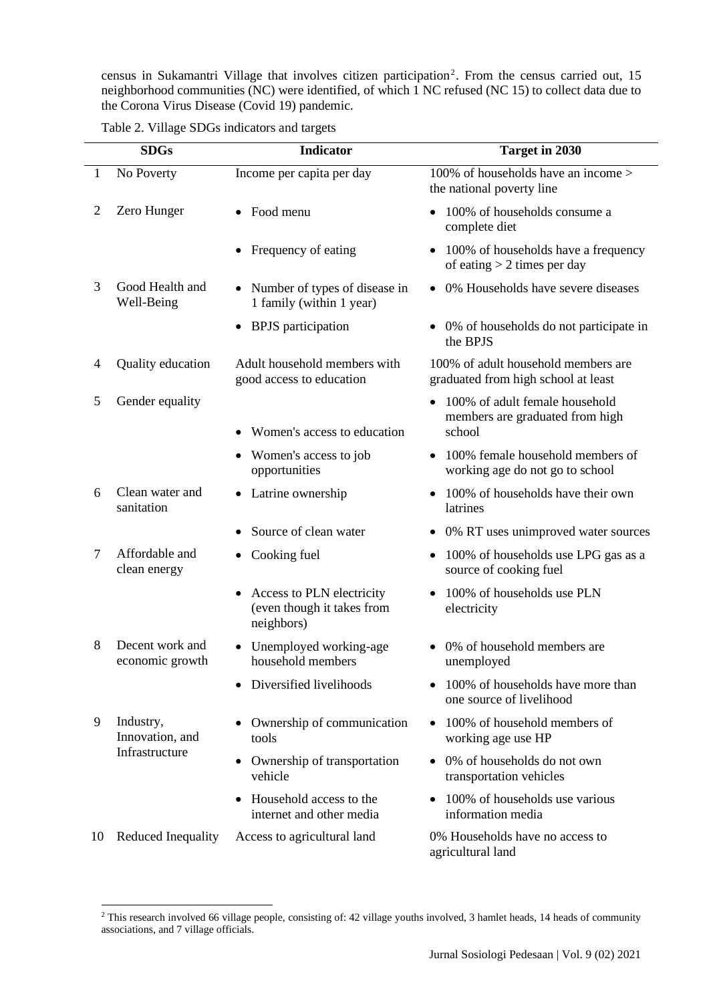census in Sukamantri Village that involves citizen participation<sup>2</sup>. From the census carried out, 15 neighborhood communities (NC) were identified, of which 1 NC refused (NC 15) to collect data due to the Corona Virus Disease (Covid 19) pandemic.

|  | Table 2. Village SDGs indicators and targets |  |  |
|--|----------------------------------------------|--|--|
|--|----------------------------------------------|--|--|

|                | <b>SDGs</b>                        | <b>Indicator</b>                                                      | Target in 2030                                                             |
|----------------|------------------------------------|-----------------------------------------------------------------------|----------------------------------------------------------------------------|
| 1              | No Poverty                         | Income per capita per day                                             | 100% of households have an income ><br>the national poverty line           |
| $\overline{2}$ | Zero Hunger                        | Food menu                                                             | 100% of households consume a<br>complete diet                              |
|                |                                    | Frequency of eating                                                   | 100% of households have a frequency<br>of eating $> 2$ times per day       |
| 3              | Good Health and<br>Well-Being      | Number of types of disease in<br>1 family (within 1 year)             | 0% Households have severe diseases                                         |
|                |                                    | <b>BPJS</b> participation                                             | • 0% of households do not participate in<br>the BPJS                       |
| $\overline{4}$ | Quality education                  | Adult household members with<br>good access to education              | 100% of adult household members are<br>graduated from high school at least |
| 5              | Gender equality                    |                                                                       | 100% of adult female household<br>members are graduated from high          |
|                |                                    | Women's access to education                                           | school                                                                     |
|                |                                    | Women's access to job<br>opportunities                                | 100% female household members of<br>working age do not go to school        |
| 6              | Clean water and<br>sanitation      | Latrine ownership                                                     | 100% of households have their own<br>latrines                              |
|                |                                    | Source of clean water                                                 | 0% RT uses unimproved water sources                                        |
| 7              | Affordable and<br>clean energy     | Cooking fuel<br>٠                                                     | 100% of households use LPG gas as a<br>$\bullet$<br>source of cooking fuel |
|                |                                    | Access to PLN electricity<br>(even though it takes from<br>neighbors) | 100% of households use PLN<br>electricity                                  |
| 8              | Decent work and<br>economic growth | Unemployed working-age<br>household members                           | 0% of household members are<br>unemployed                                  |
|                |                                    | Diversified livelihoods                                               | 100% of households have more than<br>one source of livelihood              |
| 9              | Industry,<br>Innovation, and       | Ownership of communication<br>tools                                   | 100% of household members of<br>working age use HP                         |
|                | Infrastructure                     | Ownership of transportation<br>vehicle                                | • 0% of households do not own<br>transportation vehicles                   |
|                |                                    | Household access to the<br>internet and other media                   | 100% of households use various<br>information media                        |
| 10             | Reduced Inequality                 | Access to agricultural land                                           | 0% Households have no access to<br>agricultural land                       |

<sup>&</sup>lt;sup>2</sup> This research involved 66 village people, consisting of: 42 village youths involved, 3 hamlet heads, 14 heads of community associations, and 7 village officials.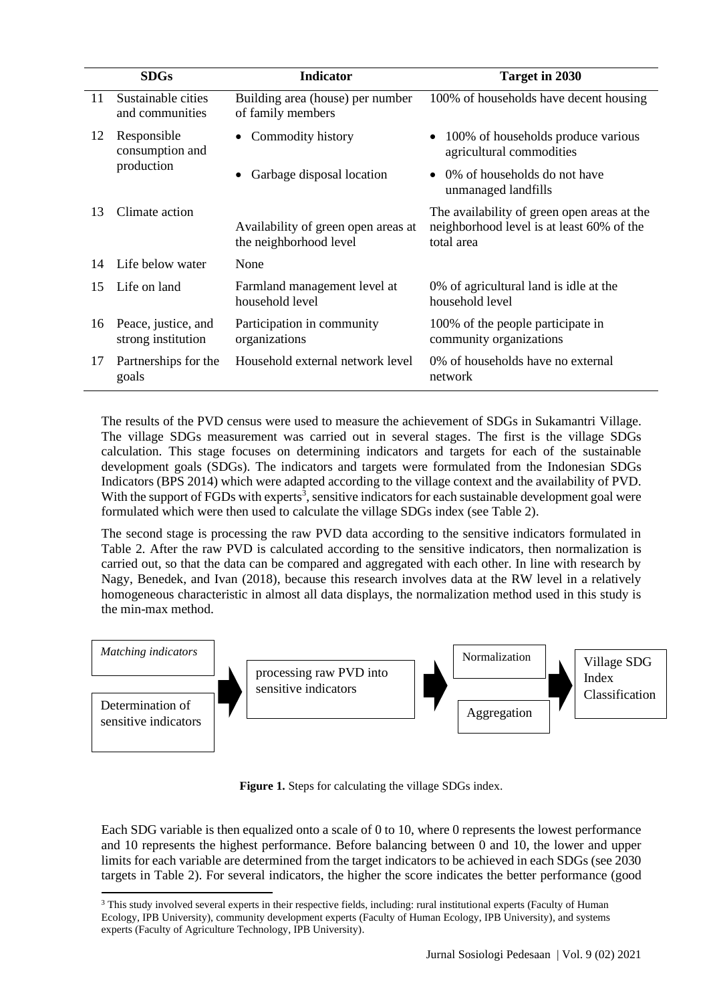|    | <b>SDGs</b>                               | <b>Indicator</b>                                              | Target in 2030                                                                                         |
|----|-------------------------------------------|---------------------------------------------------------------|--------------------------------------------------------------------------------------------------------|
| 11 | Sustainable cities<br>and communities     | Building area (house) per number<br>of family members         | 100% of households have decent housing                                                                 |
| 12 | Responsible<br>consumption and            | Commodity history<br>$\bullet$                                | 100% of households produce various<br>٠<br>agricultural commodities                                    |
|    | production                                | Garbage disposal location                                     | 0% of households do not have<br>$\bullet$<br>unmanaged landfills                                       |
| 13 | Climate action                            | Availability of green open areas at<br>the neighborhood level | The availability of green open areas at the<br>neighborhood level is at least 60% of the<br>total area |
| 14 | Life below water                          | None                                                          |                                                                                                        |
| 15 | Life on land                              | Farmland management level at<br>household level               | 0% of agricultural land is idle at the<br>household level                                              |
| 16 | Peace, justice, and<br>strong institution | Participation in community<br>organizations                   | 100% of the people participate in<br>community organizations                                           |
| 17 | Partnerships for the<br>goals             | Household external network level                              | 0% of households have no external<br>network                                                           |

The results of the PVD census were used to measure the achievement of SDGs in Sukamantri Village. The village SDGs measurement was carried out in several stages. The first is the village SDGs calculation. This stage focuses on determining indicators and targets for each of the sustainable development goals (SDGs). The indicators and targets were formulated from the Indonesian SDGs Indicators (BPS 2014) which were adapted according to the village context and the availability of PVD. With the support of FGDs with experts<sup>3</sup>, sensitive indicators for each sustainable development goal were formulated which were then used to calculate the village SDGs index (see Table 2).

The second stage is processing the raw PVD data according to the sensitive indicators formulated in Table 2. After the raw PVD is calculated according to the sensitive indicators, then normalization is carried out, so that the data can be compared and aggregated with each other. In line with research by Nagy, Benedek, and Ivan (2018), because this research involves data at the RW level in a relatively homogeneous characteristic in almost all data displays, the normalization method used in this study is the min-max method.



**Figure 1.** Steps for calculating the village SDGs index.

Each SDG variable is then equalized onto a scale of 0 to 10, where 0 represents the lowest performance and 10 represents the highest performance. Before balancing between 0 and 10, the lower and upper limits for each variable are determined from the target indicators to be achieved in each SDGs (see 2030 targets in Table 2). For several indicators, the higher the score indicates the better performance (good

<sup>&</sup>lt;sup>3</sup> This study involved several experts in their respective fields, including: rural institutional experts (Faculty of Human Ecology, IPB University), community development experts (Faculty of Human Ecology, IPB University), and systems experts (Faculty of Agriculture Technology, IPB University).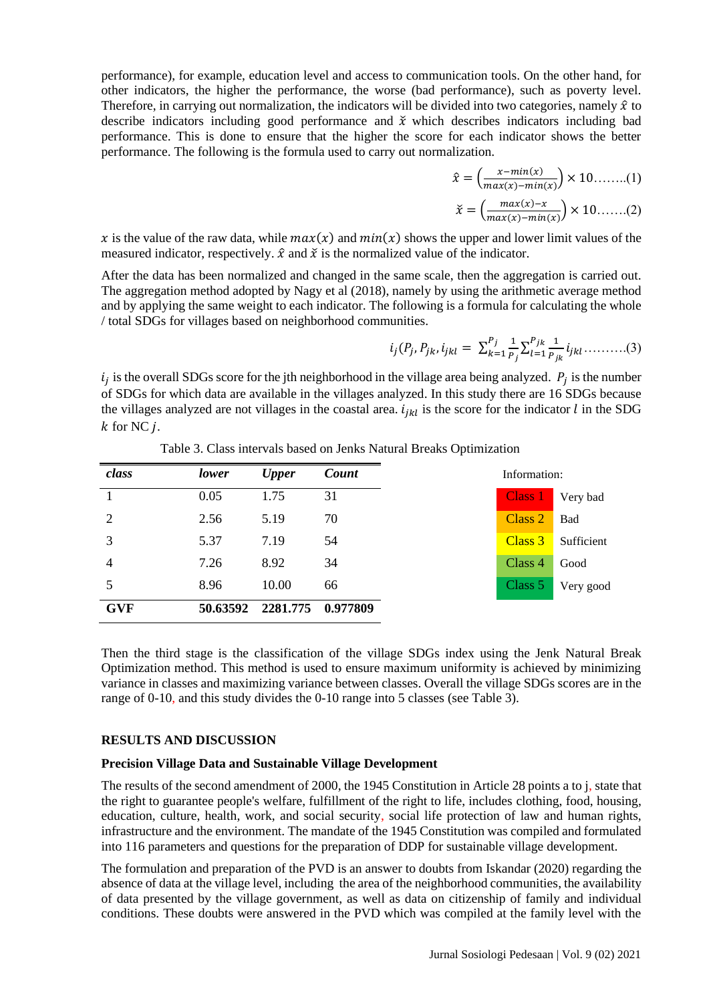performance), for example, education level and access to communication tools. On the other hand, for other indicators, the higher the performance, the worse (bad performance), such as poverty level. Therefore, in carrying out normalization, the indicators will be divided into two categories, namely  $\hat{x}$  to describe indicators including good performance and  $\check{x}$  which describes indicators including bad performance. This is done to ensure that the higher the score for each indicator shows the better performance. The following is the formula used to carry out normalization.

$$
\hat{x} = \left(\frac{x - \min(x)}{\max(x) - \min(x)}\right) \times 10 \dots \dots (1)
$$

$$
\check{x} = \left(\frac{max(x) - x}{max(x) - min(x)}\right) \times 10 \dots (2)
$$

x is the value of the raw data, while  $max(x)$  and  $min(x)$  shows the upper and lower limit values of the measured indicator, respectively.  $\hat{x}$  and  $\check{x}$  is the normalized value of the indicator.

After the data has been normalized and changed in the same scale, then the aggregation is carried out. The aggregation method adopted by Nagy et al (2018), namely by using the arithmetic average method and by applying the same weight to each indicator. The following is a formula for calculating the whole / total SDGs for villages based on neighborhood communities.

$$
i_j(P_j, P_{jk}, i_{jkl} = \sum_{k=1}^{P_j} \frac{1}{P_j} \sum_{l=1}^{P_{jk}} \frac{1}{P_{jk}} i_{jkl} \dots \dots \dots (3)
$$

 $i_j$  is the overall SDGs score for the jth neighborhood in the village area being analyzed.  $P_j$  is the number of SDGs for which data are available in the villages analyzed. In this study there are 16 SDGs because the villages analyzed are not villages in the coastal area.  $i_{ikl}$  is the score for the indicator l in the SDG  $k$  for NC  $i$ .

| class      | lower | <b>Upper</b>               | Count |  |  | Information: |            |
|------------|-------|----------------------------|-------|--|--|--------------|------------|
| 1          | 0.05  | 1.75                       | 31    |  |  | Class 1      | Very bad   |
| 2          | 2.56  | 5.19                       | 70    |  |  | Class 2      | Bad        |
| 3          | 5.37  | 7.19                       | 54    |  |  | Class 3      | Sufficient |
| 4          | 7.26  | 8.92                       | 34    |  |  | Class 4      | Good       |
| 5          | 8.96  | 10.00                      | 66    |  |  | Class 5      | Very good  |
| <b>GVF</b> |       | 50.63592 2281.775 0.977809 |       |  |  |              |            |

Table 3. Class intervals based on Jenks Natural Breaks Optimization

Then the third stage is the classification of the village SDGs index using the Jenk Natural Break Optimization method. This method is used to ensure maximum uniformity is achieved by minimizing variance in classes and maximizing variance between classes. Overall the village SDGs scores are in the range of 0-10, and this study divides the 0-10 range into 5 classes (see Table 3).

## **RESULTS AND DISCUSSION**

## **Precision Village Data and Sustainable Village Development**

The results of the second amendment of 2000, the 1945 Constitution in Article 28 points a to j, state that the right to guarantee people's welfare, fulfillment of the right to life, includes clothing, food, housing, education, culture, health, work, and social security, social life protection of law and human rights, infrastructure and the environment. The mandate of the 1945 Constitution was compiled and formulated into 116 parameters and questions for the preparation of DDP for sustainable village development.

The formulation and preparation of the PVD is an answer to doubts from Iskandar (2020) regarding the absence of data at the village level, including the area of the neighborhood communities, the availability of data presented by the village government, as well as data on citizenship of family and individual conditions. These doubts were answered in the PVD which was compiled at the family level with the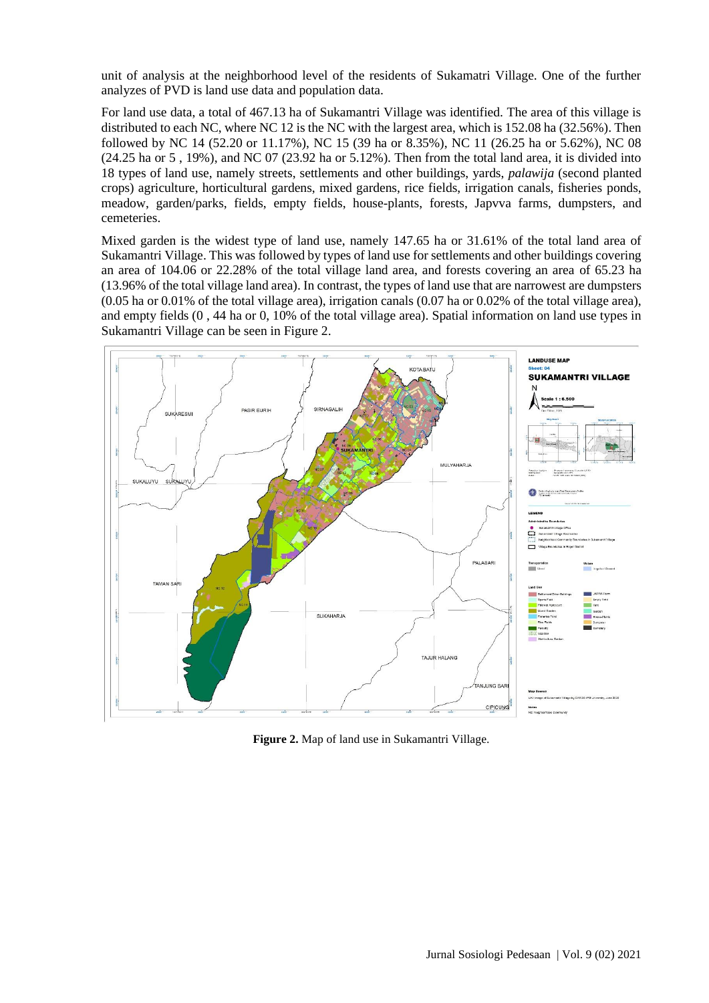unit of analysis at the neighborhood level of the residents of Sukamatri Village. One of the further analyzes of PVD is land use data and population data.

For land use data, a total of 467.13 ha of Sukamantri Village was identified. The area of this village is distributed to each NC, where NC 12 is the NC with the largest area, which is 152.08 ha (32.56%). Then followed by NC 14 (52.20 or 11.17%), NC 15 (39 ha or 8.35%), NC 11 (26.25 ha or 5.62%), NC 08 (24.25 ha or 5 , 19%), and NC 07 (23.92 ha or 5.12%). Then from the total land area, it is divided into 18 types of land use, namely streets, settlements and other buildings, yards, *palawija* (second planted crops) agriculture, horticultural gardens, mixed gardens, rice fields, irrigation canals, fisheries ponds, meadow, garden/parks, fields, empty fields, house-plants, forests, Japvva farms, dumpsters, and cemeteries.

Mixed garden is the widest type of land use, namely 147.65 ha or 31.61% of the total land area of Sukamantri Village. This was followed by types of land use for settlements and other buildings covering an area of 104.06 or 22.28% of the total village land area, and forests covering an area of 65.23 ha (13.96% of the total village land area). In contrast, the types of land use that are narrowest are dumpsters (0.05 ha or 0.01% of the total village area), irrigation canals (0.07 ha or 0.02% of the total village area), and empty fields (0 , 44 ha or 0, 10% of the total village area). Spatial information on land use types in Sukamantri Village can be seen in Figure 2.



**Figure 2.** Map of land use in Sukamantri Village.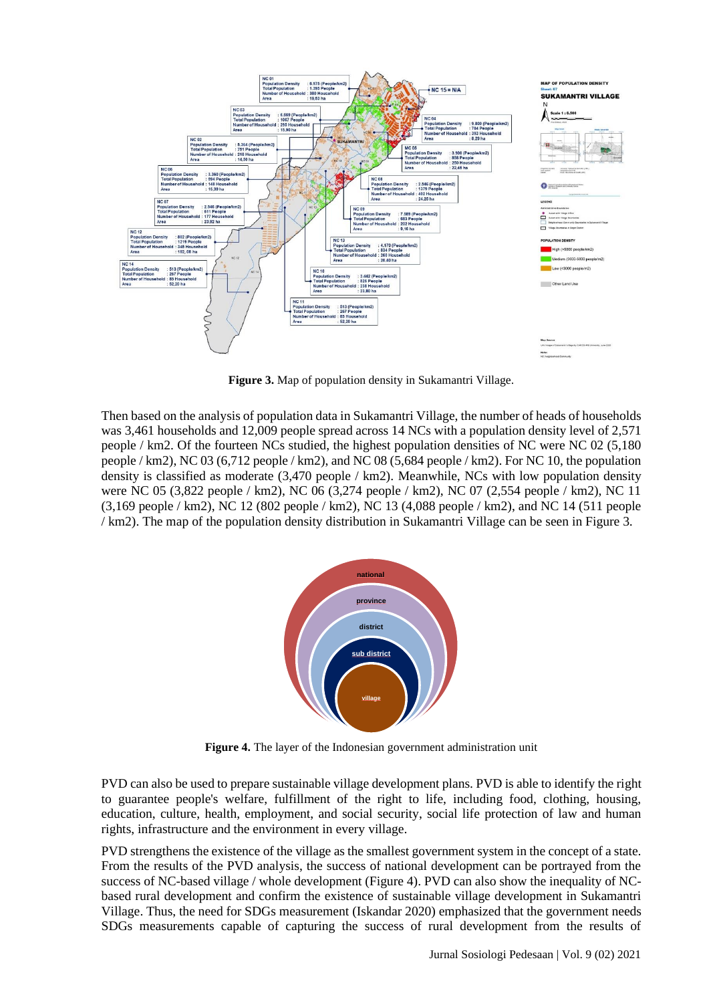

**Figure 3.** Map of population density in Sukamantri Village.

Then based on the analysis of population data in Sukamantri Village, the number of heads of households was 3,461 households and 12,009 people spread across 14 NCs with a population density level of 2,571 people / km2. Of the fourteen NCs studied, the highest population densities of NC were NC 02 (5,180 people / km2), NC 03 (6,712 people / km2), and NC 08 (5,684 people / km2). For NC 10, the population density is classified as moderate (3,470 people / km2). Meanwhile, NCs with low population density were NC 05 (3,822 people / km2), NC 06 (3,274 people / km2), NC 07 (2,554 people / km2), NC 11 (3,169 people / km2), NC 12 (802 people / km2), NC 13 (4,088 people / km2), and NC 14 (511 people / km2). The map of the population density distribution in Sukamantri Village can be seen in Figure 3.



**Figure 4.** The layer of the Indonesian government administration unit

PVD can also be used to prepare sustainable village development plans. PVD is able to identify the right to guarantee people's welfare, fulfillment of the right to life, including food, clothing, housing, education, culture, health, employment, and social security, social life protection of law and human rights, infrastructure and the environment in every village.

PVD strengthens the existence of the village as the smallest government system in the concept of a state. From the results of the PVD analysis, the success of national development can be portrayed from the success of NC-based village / whole development (Figure 4). PVD can also show the inequality of NCbased rural development and confirm the existence of sustainable village development in Sukamantri Village. Thus, the need for SDGs measurement (Iskandar 2020) emphasized that the government needs SDGs measurements capable of capturing the success of rural development from the results of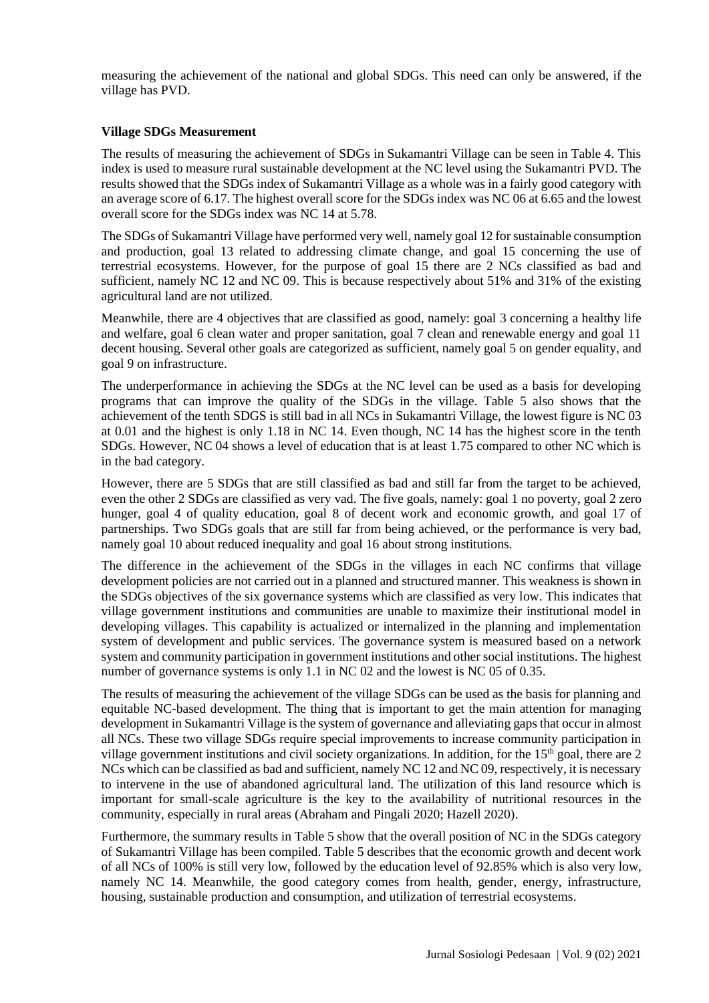measuring the achievement of the national and global SDGs. This need can only be answered, if the village has PVD.

## **Village SDGs Measurement**

The results of measuring the achievement of SDGs in Sukamantri Village can be seen in Table 4. This index is used to measure rural sustainable development at the NC level using the Sukamantri PVD. The results showed that the SDGs index of Sukamantri Village as a whole was in a fairly good category with an average score of 6.17. The highest overall score for the SDGs index was NC 06 at 6.65 and the lowest overall score for the SDGs index was NC 14 at 5.78.

The SDGs of Sukamantri Village have performed very well, namely goal 12 for sustainable consumption and production, goal 13 related to addressing climate change, and goal 15 concerning the use of terrestrial ecosystems. However, for the purpose of goal 15 there are 2 NCs classified as bad and sufficient, namely NC 12 and NC 09. This is because respectively about 51% and 31% of the existing agricultural land are not utilized.

Meanwhile, there are 4 objectives that are classified as good, namely: goal 3 concerning a healthy life and welfare, goal 6 clean water and proper sanitation, goal 7 clean and renewable energy and goal 11 decent housing. Several other goals are categorized as sufficient, namely goal 5 on gender equality, and goal 9 on infrastructure.

The underperformance in achieving the SDGs at the NC level can be used as a basis for developing programs that can improve the quality of the SDGs in the village. Table 5 also shows that the achievement of the tenth SDGS is still bad in all NCs in Sukamantri Village, the lowest figure is NC 03 at 0.01 and the highest is only 1.18 in NC 14. Even though, NC 14 has the highest score in the tenth SDGs. However, NC 04 shows a level of education that is at least 1.75 compared to other NC which is in the bad category.

However, there are 5 SDGs that are still classified as bad and still far from the target to be achieved, even the other 2 SDGs are classified as very vad. The five goals, namely: goal 1 no poverty, goal 2 zero hunger, goal 4 of quality education, goal 8 of decent work and economic growth, and goal 17 of partnerships. Two SDGs goals that are still far from being achieved, or the performance is very bad, namely goal 10 about reduced inequality and goal 16 about strong institutions.

The difference in the achievement of the SDGs in the villages in each NC confirms that village development policies are not carried out in a planned and structured manner. This weakness is shown in the SDGs objectives of the six governance systems which are classified as very low. This indicates that village government institutions and communities are unable to maximize their institutional model in developing villages. This capability is actualized or internalized in the planning and implementation system of development and public services. The governance system is measured based on a network system and community participation in government institutions and other social institutions. The highest number of governance systems is only 1.1 in NC 02 and the lowest is NC 05 of 0.35.

The results of measuring the achievement of the village SDGs can be used as the basis for planning and equitable NC-based development. The thing that is important to get the main attention for managing development in Sukamantri Village is the system of governance and alleviating gaps that occur in almost all NCs. These two village SDGs require special improvements to increase community participation in village government institutions and civil society organizations. In addition, for the  $15<sup>th</sup>$  goal, there are 2 NCs which can be classified as bad and sufficient, namely NC 12 and NC 09, respectively, it is necessary to intervene in the use of abandoned agricultural land. The utilization of this land resource which is important for small-scale agriculture is the key to the availability of nutritional resources in the community, especially in rural areas (Abraham and Pingali 2020; Hazell 2020).

Furthermore, the summary results in Table 5 show that the overall position of NC in the SDGs category of Sukamantri Village has been compiled. Table 5 describes that the economic growth and decent work of all NCs of 100% is still very low, followed by the education level of 92.85% which is also very low, namely NC 14. Meanwhile, the good category comes from health, gender, energy, infrastructure, housing, sustainable production and consumption, and utilization of terrestrial ecosystems.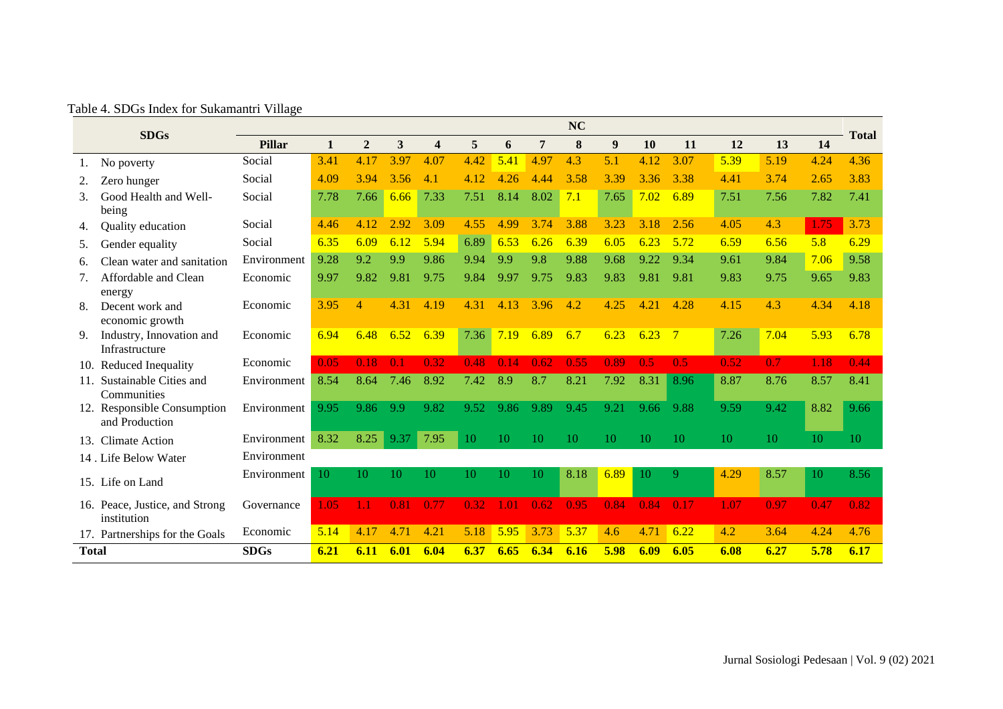Table 4. SDGs Index for Sukamantri Village

|              | <b>SDGs</b>                                   |             |      |                |      |                         |      |      |      | <b>NC</b> |      |      |                |      |      |      | <b>Total</b> |
|--------------|-----------------------------------------------|-------------|------|----------------|------|-------------------------|------|------|------|-----------|------|------|----------------|------|------|------|--------------|
|              |                                               | Pillar      | 1    | $\overline{2}$ | 3    | $\overline{\mathbf{4}}$ | 5    | 6    | 7    | 8         | 9    | 10   | 11             | 12   | 13   | 14   |              |
|              | No poverty                                    | Social      | 3.41 | 4.17           | 3.97 | 4.07                    | 4.42 | 5.41 | 4.97 | 4.3       | 5.1  | 4.12 | 3.07           | 5.39 | 5.19 | 4.24 | 4.36         |
| 2.           | Zero hunger                                   | Social      | 4.09 | 3.94           | 3.56 | 4.1                     | 4.12 | 4.26 | 4.44 | 3.58      | 3.39 | 3.36 | 3.38           | 4.41 | 3.74 | 2.65 | 3.83         |
| 3.           | Good Health and Well-<br>being                | Social      | 7.78 | 7.66           | 6.66 | 7.33                    | 7.51 | 8.14 | 8.02 | 7.1       | 7.65 | 7.02 | 6.89           | 7.51 | 7.56 | 7.82 | 7.41         |
| 4.           | Quality education                             | Social      | 4.46 | 4.12           | 2.92 | 3.09                    | 4.55 | 4.99 | 3.74 | 3.88      | 3.23 | 3.18 | 2.56           | 4.05 | 4.3  | 1.75 | 3.73         |
| 5.           | Gender equality                               | Social      | 6.35 | 6.09           | 6.12 | 5.94                    | 6.89 | 6.53 | 6.26 | 6.39      | 6.05 | 6.23 | 5.72           | 6.59 | 6.56 | 5.8  | 6.29         |
| 6.           | Clean water and sanitation                    | Environment | 9.28 | 9.2            | 9.9  | 9.86                    | 9.94 | 9.9  | 9.8  | 9.88      | 9.68 | 9.22 | 9.34           | 9.61 | 9.84 | 7.06 | 9.58         |
| 7.           | Affordable and Clean<br>energy                | Economic    | 9.97 | 9.82           | 9.81 | 9.75                    | 9.84 | 9.97 | 9.75 | 9.83      | 9.83 | 9.81 | 9.81           | 9.83 | 9.75 | 9.65 | 9.83         |
| 8.           | Decent work and<br>economic growth            | Economic    | 3.95 | $\overline{4}$ | 4.31 | 4.19                    | 4.31 | 4.13 | 3.96 | 4.2       | 4.25 | 4.21 | 4.28           | 4.15 | 4.3  | 4.34 | 4.18         |
| 9.           | Industry, Innovation and<br>Infrastructure    | Economic    | 6.94 | 6.48           | 6.52 | 6.39                    | 7.36 | 7.19 | 6.89 | 6.7       | 6.23 | 6.23 | $\overline{7}$ | 7.26 | 7.04 | 5.93 | 6.78         |
|              | 10. Reduced Inequality                        | Economic    | 0.05 | 0.18           | 0.1  | 0.32                    | 0.48 | 0.14 | 0.62 | 0.55      | 0.89 | 0.5  | 0.5            | 0.52 | 0.7  | 1.18 | 0.44         |
| 11.          | Sustainable Cities and<br>Communities         | Environment | 8.54 | 8.64           | 7.46 | 8.92                    | 7.42 | 8.9  | 8.7  | 8.21      | 7.92 | 8.31 | 8.96           | 8.87 | 8.76 | 8.57 | 8.41         |
|              | 12. Responsible Consumption<br>and Production | Environment | 9.95 | 9.86           | 9.9  | 9.82                    | 9.52 | 9.86 | 9.89 | 9.45      | 9.21 | 9.66 | 9.88           | 9.59 | 9.42 | 8.82 | 9.66         |
| 13.          | <b>Climate Action</b>                         | Environment | 8.32 | 8.25           | 9.37 | 7.95                    | 10   | 10   | 10   | 10        | 10   | 10   | 10             | 10   | 10   | 10   | 10           |
|              | 14 . Life Below Water                         | Environment |      |                |      |                         |      |      |      |           |      |      |                |      |      |      |              |
|              | 15. Life on Land                              | Environment | 10   | 10             | 10   | 10                      | 10   | 10   | 10   | 8.18      | 6.89 | 10   | 9              | 4.29 | 8.57 | 10   | 8.56         |
|              | 16. Peace, Justice, and Strong<br>institution | Governance  | 1.05 | 1.1            | 0.81 | 0.77                    | 0.32 | 1.01 | 0.62 | 0.95      | 0.84 | 0.84 | 0.17           | 1.07 | 0.97 | 0.47 | 0.82         |
|              | 17. Partnerships for the Goals                | Economic    | 5.14 | 4.17           | 4.71 | 4.21                    | 5.18 | 5.95 | 3.73 | 5.37      | 4.6  | 4.71 | 6.22           | 4.2  | 3.64 | 4.24 | 4.76         |
| <b>Total</b> |                                               | <b>SDGs</b> | 6.21 | 6.11           | 6.01 | 6.04                    | 6.37 | 6.65 | 6.34 | 6.16      | 5.98 | 6.09 | 6.05           | 6.08 | 6.27 | 5.78 | 6.17         |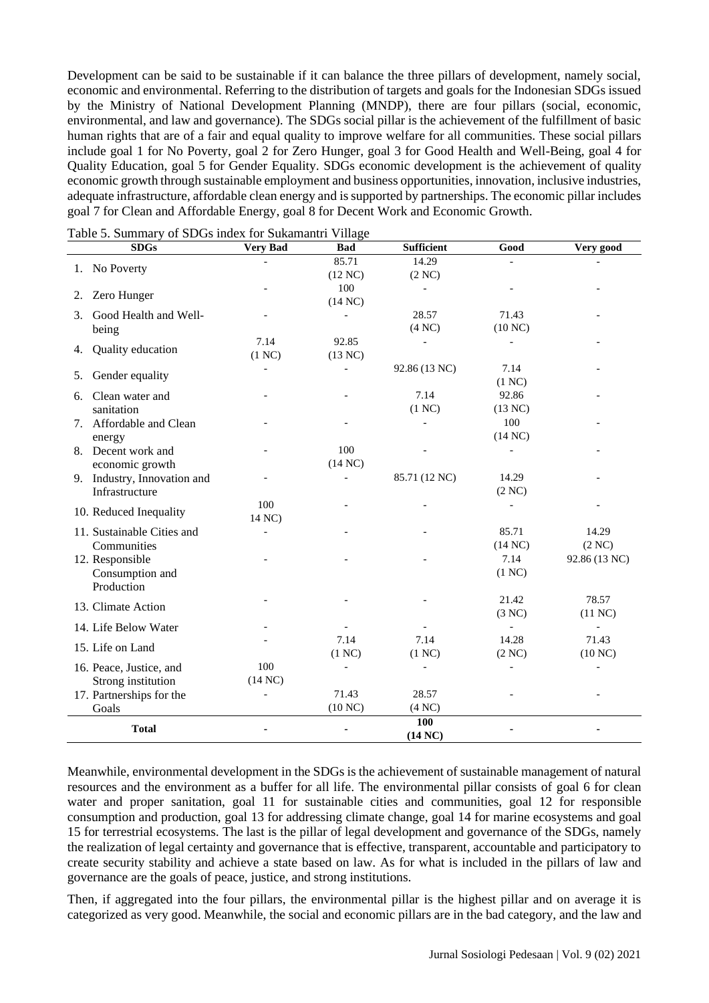Development can be said to be sustainable if it can balance the three pillars of development, namely social, economic and environmental. Referring to the distribution of targets and goals for the Indonesian SDGs issued by the Ministry of National Development Planning (MNDP), there are four pillars (social, economic, environmental, and law and governance). The SDGs social pillar is the achievement of the fulfillment of basic human rights that are of a fair and equal quality to improve welfare for all communities. These social pillars include goal 1 for No Poverty, goal 2 for Zero Hunger, goal 3 for Good Health and Well-Being, goal 4 for Quality Education, goal 5 for Gender Equality. SDGs economic development is the achievement of quality economic growth through sustainable employment and business opportunities, innovation, inclusive industries, adequate infrastructure, affordable clean energy and is supported by partnerships. The economic pillar includes goal 7 for Clean and Affordable Energy, goal 8 for Decent Work and Economic Growth.

| <b>SDGs</b>                 | <b>Very Bad</b> | <b>Bad</b>        | <b>Sufficient</b> | Good                              | Very good                             |
|-----------------------------|-----------------|-------------------|-------------------|-----------------------------------|---------------------------------------|
| 1. No Poverty               |                 | 85.71             | 14.29             |                                   |                                       |
|                             |                 | (12 NC)           | (2 NC)            |                                   |                                       |
| Zero Hunger<br>2.           |                 | 100               |                   |                                   |                                       |
|                             |                 | $(14 \text{ NC})$ |                   |                                   |                                       |
| Good Health and Well-<br>3. |                 |                   | 28.57             | 71.43                             |                                       |
| being                       |                 |                   | (4 NC)            | (10 NC)                           |                                       |
| Quality education<br>4.     | 7.14            | 92.85             |                   |                                   |                                       |
|                             | (1 NC)          | (13 NC)           |                   | 7.14                              |                                       |
| Gender equality<br>5.       |                 |                   | 92.86 (13 NC)     |                                   |                                       |
| Clean water and             |                 |                   | 7.14              | (1 NC)<br>92.86                   |                                       |
| 6.<br>sanitation            |                 |                   | (1 NC)            | (13 NC)                           |                                       |
| 7. Affordable and Clean     |                 |                   |                   | 100                               |                                       |
| energy                      |                 |                   |                   | (14 NC)                           |                                       |
| 8. Decent work and          |                 | 100               |                   |                                   |                                       |
| economic growth             |                 | (14 NC)           |                   |                                   |                                       |
| 9. Industry, Innovation and |                 |                   | 85.71 (12 NC)     | 14.29                             |                                       |
| Infrastructure              |                 |                   |                   | (2 NC)                            |                                       |
|                             | 100             |                   |                   |                                   |                                       |
| 10. Reduced Inequality      | 14 NC)          |                   |                   |                                   |                                       |
| 11. Sustainable Cities and  |                 |                   |                   | 85.71                             | 14.29                                 |
| Communities                 |                 |                   |                   | (14 NC)                           | (2 NC)                                |
| 12. Responsible             |                 |                   |                   | 7.14                              | 92.86 (13 NC)                         |
| Consumption and             |                 |                   |                   | (1 NC)                            |                                       |
| Production                  |                 |                   |                   |                                   |                                       |
| 13. Climate Action          |                 |                   |                   | 21.42                             | 78.57                                 |
|                             |                 |                   |                   | (3 NC)                            | (11 NC)                               |
| 14. Life Below Water        |                 | 7.14              | 7.14              | $\overline{\phantom{a}}$<br>14.28 | $\qquad \qquad \blacksquare$<br>71.43 |
| 15. Life on Land            |                 | (1 NC)            | (1 NC)            | (2 NC)                            | (10 NC)                               |
| 16. Peace, Justice, and     | 100             |                   |                   |                                   |                                       |
| Strong institution          | (14 NC)         |                   |                   |                                   |                                       |
| 17. Partnerships for the    |                 | 71.43             | 28.57             |                                   |                                       |
| Goals                       |                 | (10 NC)           | $(4 \text{ NC})$  |                                   |                                       |
|                             |                 |                   | 100               |                                   |                                       |
| <b>Total</b>                |                 |                   | (14 NC)           |                                   |                                       |

Table 5. Summary of SDGs index for Sukamantri Village

Meanwhile, environmental development in the SDGs is the achievement of sustainable management of natural resources and the environment as a buffer for all life. The environmental pillar consists of goal 6 for clean water and proper sanitation, goal 11 for sustainable cities and communities, goal 12 for responsible consumption and production, goal 13 for addressing climate change, goal 14 for marine ecosystems and goal 15 for terrestrial ecosystems. The last is the pillar of legal development and governance of the SDGs, namely the realization of legal certainty and governance that is effective, transparent, accountable and participatory to create security stability and achieve a state based on law. As for what is included in the pillars of law and governance are the goals of peace, justice, and strong institutions.

Then, if aggregated into the four pillars, the environmental pillar is the highest pillar and on average it is categorized as very good. Meanwhile, the social and economic pillars are in the bad category, and the law and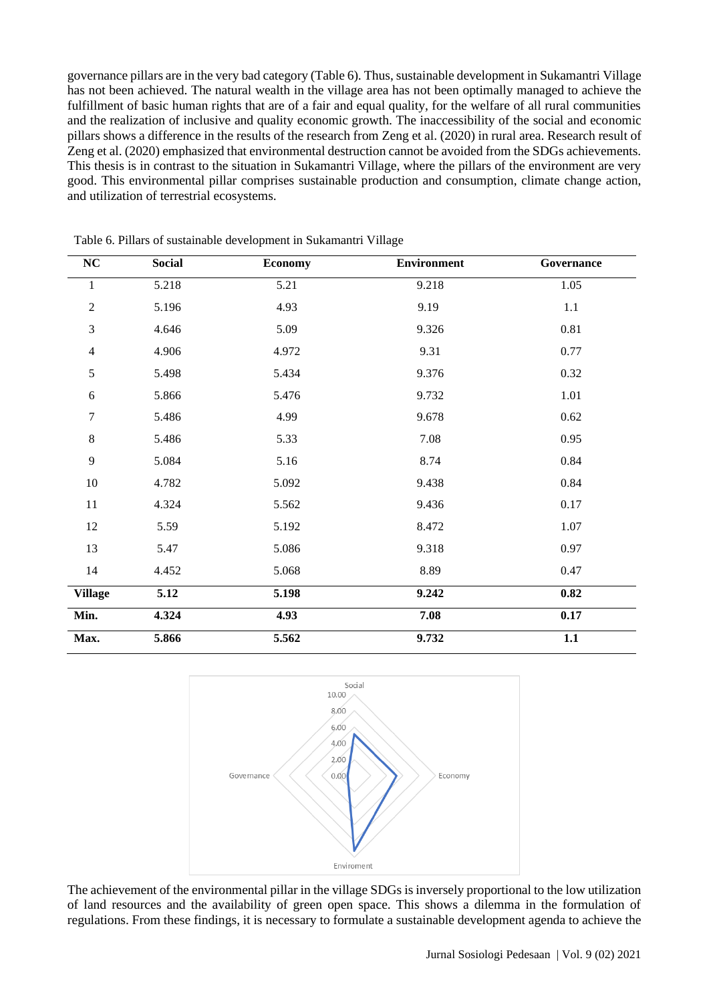governance pillars are in the very bad category (Table 6). Thus, sustainable development in Sukamantri Village has not been achieved. The natural wealth in the village area has not been optimally managed to achieve the fulfillment of basic human rights that are of a fair and equal quality, for the welfare of all rural communities and the realization of inclusive and quality economic growth. The inaccessibility of the social and economic pillars shows a difference in the results of the research from Zeng et al. (2020) in rural area. Research result of Zeng et al. (2020) emphasized that environmental destruction cannot be avoided from the SDGs achievements. This thesis is in contrast to the situation in Sukamantri Village, where the pillars of the environment are very good. This environmental pillar comprises sustainable production and consumption, climate change action, and utilization of terrestrial ecosystems.

| ${\bf NC}$     | <b>Social</b> | <b>Economy</b> | <b>Environment</b> | Governance |
|----------------|---------------|----------------|--------------------|------------|
| $\mathbf{1}$   | 5.218         | 5.21           | 9.218              | 1.05       |
| $\sqrt{2}$     | 5.196         | 4.93           | 9.19               | 1.1        |
| $\mathfrak{Z}$ | 4.646         | 5.09           | 9.326              | 0.81       |
| $\overline{4}$ | 4.906         | 4.972          | 9.31               | 0.77       |
| $\sqrt{5}$     | 5.498         | 5.434          | 9.376              | 0.32       |
| 6              | 5.866         | 5.476          | 9.732              | 1.01       |
| $\tau$         | 5.486         | 4.99           | 9.678              | 0.62       |
| $\,8\,$        | 5.486         | 5.33           | 7.08               | 0.95       |
| 9              | 5.084         | 5.16           | 8.74               | 0.84       |
| $10\,$         | 4.782         | 5.092          | 9.438              | 0.84       |
| $11\,$         | 4.324         | 5.562          | 9.436              | 0.17       |
| 12             | 5.59          | 5.192          | 8.472              | 1.07       |
| 13             | 5.47          | 5.086          | 9.318              | 0.97       |
| 14             | 4.452         | 5.068          | 8.89               | 0.47       |
| <b>Village</b> | 5.12          | 5.198          | 9.242              | 0.82       |
| Min.           | 4.324         | 4.93           | 7.08               | 0.17       |
| Max.           | 5.866         | 5.562          | 9.732              | 1.1        |

Table 6. Pillars of sustainable development in Sukamantri Village



The achievement of the environmental pillar in the village SDGs is inversely proportional to the low utilization of land resources and the availability of green open space. This shows a dilemma in the formulation of regulations. From these findings, it is necessary to formulate a sustainable development agenda to achieve the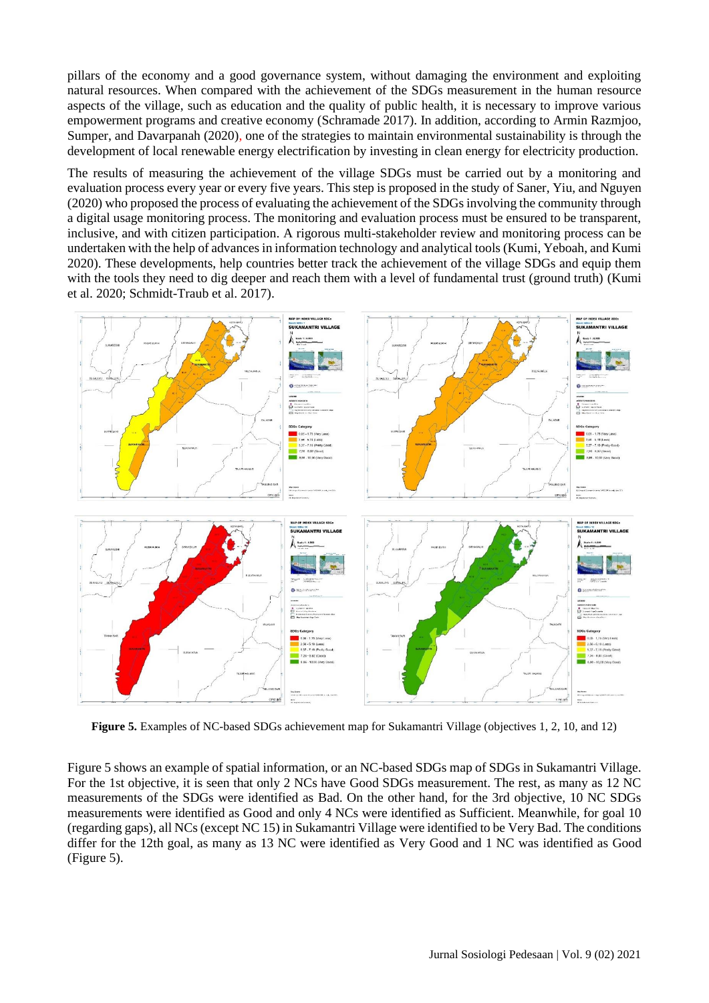pillars of the economy and a good governance system, without damaging the environment and exploiting natural resources. When compared with the achievement of the SDGs measurement in the human resource aspects of the village, such as education and the quality of public health, it is necessary to improve various empowerment programs and creative economy (Schramade 2017). In addition, according to Armin Razmjoo, Sumper, and Davarpanah (2020), one of the strategies to maintain environmental sustainability is through the development of local renewable energy electrification by investing in clean energy for electricity production.

The results of measuring the achievement of the village SDGs must be carried out by a monitoring and evaluation process every year or every five years. This step is proposed in the study of Saner, Yiu, and Nguyen (2020) who proposed the process of evaluating the achievement of the SDGs involving the community through a digital usage monitoring process. The monitoring and evaluation process must be ensured to be transparent, inclusive, and with citizen participation. A rigorous multi-stakeholder review and monitoring process can be undertaken with the help of advances in information technology and analytical tools (Kumi, Yeboah, and Kumi 2020). These developments, help countries better track the achievement of the village SDGs and equip them with the tools they need to dig deeper and reach them with a level of fundamental trust (ground truth) (Kumi et al. 2020; Schmidt-Traub et al. 2017).



**Figure 5.** Examples of NC-based SDGs achievement map for Sukamantri Village (objectives 1, 2, 10, and 12)

Figure 5 shows an example of spatial information, or an NC-based SDGs map of SDGs in Sukamantri Village. For the 1st objective, it is seen that only 2 NCs have Good SDGs measurement. The rest, as many as 12 NC measurements of the SDGs were identified as Bad. On the other hand, for the 3rd objective, 10 NC SDGs measurements were identified as Good and only 4 NCs were identified as Sufficient. Meanwhile, for goal 10 (regarding gaps), all NCs (except NC 15) in Sukamantri Village were identified to be Very Bad. The conditions differ for the 12th goal, as many as 13 NC were identified as Very Good and 1 NC was identified as Good (Figure 5).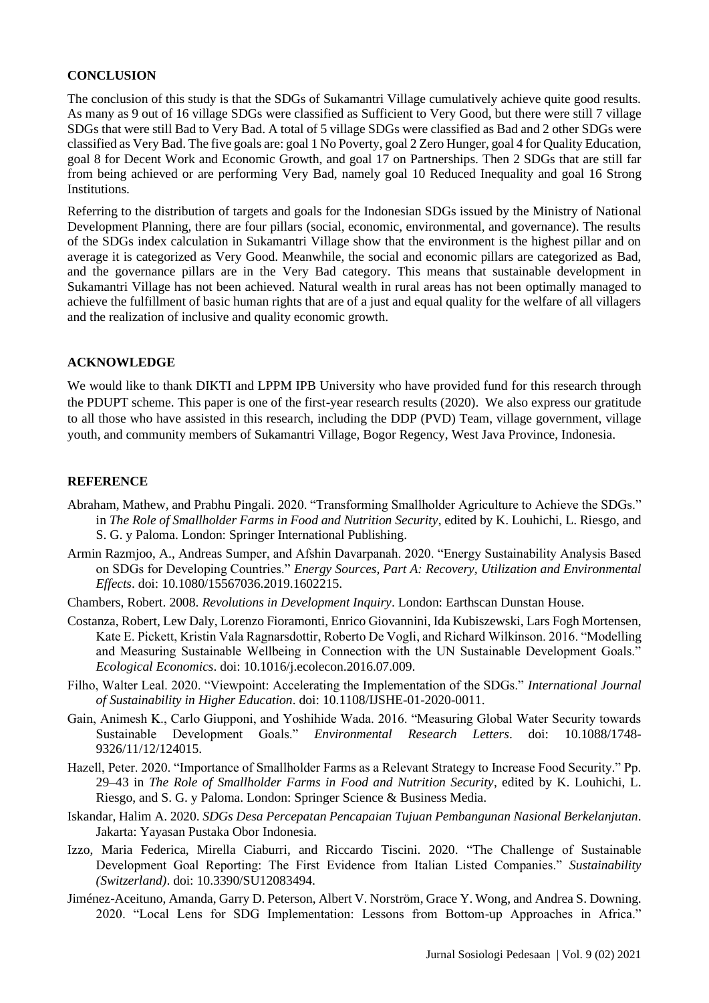## **CONCLUSION**

The conclusion of this study is that the SDGs of Sukamantri Village cumulatively achieve quite good results. As many as 9 out of 16 village SDGs were classified as Sufficient to Very Good, but there were still 7 village SDGs that were still Bad to Very Bad. A total of 5 village SDGs were classified as Bad and 2 other SDGs were classified as Very Bad. The five goals are: goal 1 No Poverty, goal 2 Zero Hunger, goal 4 for Quality Education, goal 8 for Decent Work and Economic Growth, and goal 17 on Partnerships. Then 2 SDGs that are still far from being achieved or are performing Very Bad, namely goal 10 Reduced Inequality and goal 16 Strong Institutions.

Referring to the distribution of targets and goals for the Indonesian SDGs issued by the Ministry of National Development Planning, there are four pillars (social, economic, environmental, and governance). The results of the SDGs index calculation in Sukamantri Village show that the environment is the highest pillar and on average it is categorized as Very Good. Meanwhile, the social and economic pillars are categorized as Bad, and the governance pillars are in the Very Bad category. This means that sustainable development in Sukamantri Village has not been achieved. Natural wealth in rural areas has not been optimally managed to achieve the fulfillment of basic human rights that are of a just and equal quality for the welfare of all villagers and the realization of inclusive and quality economic growth.

#### **ACKNOWLEDGE**

We would like to thank DIKTI and LPPM IPB University who have provided fund for this research through the PDUPT scheme. This paper is one of the first-year research results (2020). We also express our gratitude to all those who have assisted in this research, including the DDP (PVD) Team, village government, village youth, and community members of Sukamantri Village, Bogor Regency, West Java Province, Indonesia.

#### **REFERENCE**

- Abraham, Mathew, and Prabhu Pingali. 2020. "Transforming Smallholder Agriculture to Achieve the SDGs." in *The Role of Smallholder Farms in Food and Nutrition Security*, edited by K. Louhichi, L. Riesgo, and S. G. y Paloma. London: Springer International Publishing.
- Armin Razmjoo, A., Andreas Sumper, and Afshin Davarpanah. 2020. "Energy Sustainability Analysis Based on SDGs for Developing Countries." *Energy Sources, Part A: Recovery, Utilization and Environmental Effects*. doi: 10.1080/15567036.2019.1602215.
- Chambers, Robert. 2008. *Revolutions in Development Inquiry*. London: Earthscan Dunstan House.
- Costanza, Robert, Lew Daly, Lorenzo Fioramonti, Enrico Giovannini, Ida Kubiszewski, Lars Fogh Mortensen, Kate E. Pickett, Kristin Vala Ragnarsdottir, Roberto De Vogli, and Richard Wilkinson. 2016. "Modelling and Measuring Sustainable Wellbeing in Connection with the UN Sustainable Development Goals." *Ecological Economics*. doi: 10.1016/j.ecolecon.2016.07.009.
- Filho, Walter Leal. 2020. "Viewpoint: Accelerating the Implementation of the SDGs." *International Journal of Sustainability in Higher Education*. doi: 10.1108/IJSHE-01-2020-0011.
- Gain, Animesh K., Carlo Giupponi, and Yoshihide Wada. 2016. "Measuring Global Water Security towards Sustainable Development Goals." *Environmental Research Letters*. doi: 10.1088/1748- 9326/11/12/124015.
- Hazell, Peter. 2020. "Importance of Smallholder Farms as a Relevant Strategy to Increase Food Security." Pp. 29–43 in *The Role of Smallholder Farms in Food and Nutrition Security*, edited by K. Louhichi, L. Riesgo, and S. G. y Paloma. London: Springer Science & Business Media.
- Iskandar, Halim A. 2020. *SDGs Desa Percepatan Pencapaian Tujuan Pembangunan Nasional Berkelanjutan*. Jakarta: Yayasan Pustaka Obor Indonesia.
- Izzo, Maria Federica, Mirella Ciaburri, and Riccardo Tiscini. 2020. "The Challenge of Sustainable Development Goal Reporting: The First Evidence from Italian Listed Companies." *Sustainability (Switzerland)*. doi: 10.3390/SU12083494.
- Jiménez-Aceituno, Amanda, Garry D. Peterson, Albert V. Norström, Grace Y. Wong, and Andrea S. Downing. 2020. "Local Lens for SDG Implementation: Lessons from Bottom-up Approaches in Africa."